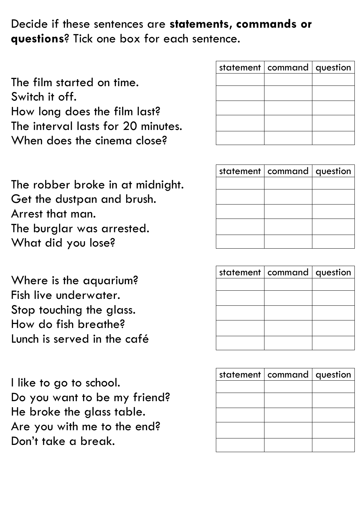Decide if these sentences are **statements, commands or questions**? Tick one box for each sentence.

The film started on time. Switch it off. How long does the film last? The interval lasts for 20 minutes. When does the cinema close?

| statement   command   question |  |
|--------------------------------|--|
|                                |  |
|                                |  |
|                                |  |
|                                |  |
|                                |  |

The robber broke in at midnight. Get the dustpan and brush. Arrest that man. The burglar was arrested. What did you lose?

Where is the aquarium? Fish live underwater. Stop touching the glass. How do fish breathe? Lunch is served in the café

I like to go to school. Do you want to be my friend? He broke the glass table. Are you with me to the end? Don't take a break.

| statement   command   question |  |
|--------------------------------|--|
|                                |  |
|                                |  |
|                                |  |
|                                |  |
|                                |  |

| statement   command   question |  |
|--------------------------------|--|
|                                |  |
|                                |  |
|                                |  |
|                                |  |
|                                |  |
|                                |  |
|                                |  |

| statement   command   question |  |
|--------------------------------|--|
|                                |  |
|                                |  |
|                                |  |
|                                |  |
|                                |  |